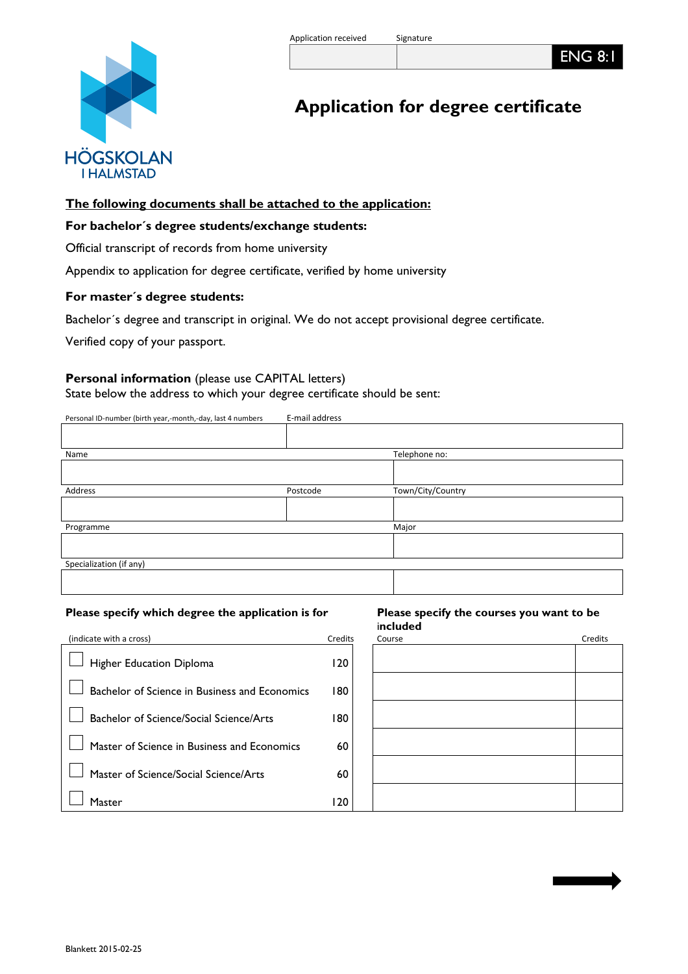ENG 8:1

# **Application for degree certificate**

## **The following documents shall be attached to the application:**

## **For bachelor´s degree students/exchange students:**

Official transcript of records from home university

Appendix to application for degree certificate, verified by home university

## **For master´s degree students:**

Bachelor´s degree and transcript in original. We do not accept provisional degree certificate.

Verified copy of your passport.

## **Personal information** (please use CAPITAL letters)

State below the address to which your degree certificate should be sent:

Personal ID-number (birth year,-month,-day, last 4 numbers E-mail address

| Name                    |          | Telephone no:     |
|-------------------------|----------|-------------------|
|                         |          |                   |
| Address                 | Postcode | Town/City/Country |
|                         |          |                   |
| Programme               |          | Major             |
|                         |          |                   |
| Specialization (if any) |          |                   |
|                         |          |                   |

#### **Please specify which degree the application is for Please specify the courses you want to be**

# i**ncluded**

| (indicate with a cross)                       | Credits | Course | Credits |
|-----------------------------------------------|---------|--------|---------|
| Higher Education Diploma                      | 120     |        |         |
| Bachelor of Science in Business and Economics | 180     |        |         |
| Bachelor of Science/Social Science/Arts       | 180     |        |         |
| Master of Science in Business and Economics   | 60      |        |         |
| Master of Science/Social Science/Arts         | 60      |        |         |
| Master                                        | 120     |        |         |